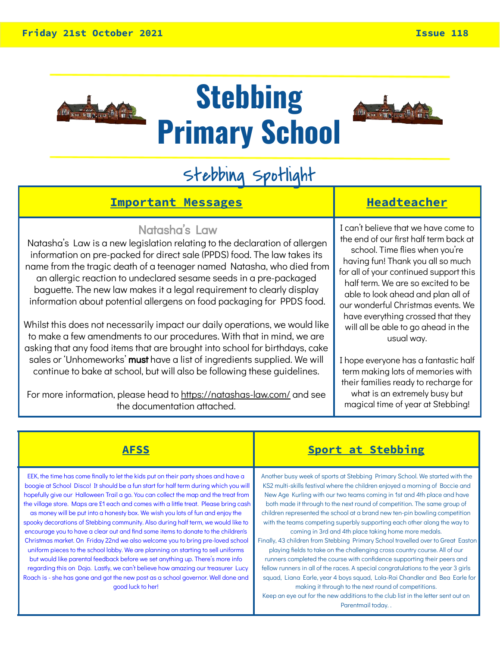

**Stebbing Primary School**



## Stebbing Spotlight

#### **Important Messages Headteacher**

#### Natasha's Law

Natasha's Law is a new legislation relating to the declaration of allergen information on pre-packed for direct sale (PPDS) food. The law takes its name from the tragic death of a teenager named Natasha, who died from an allergic reaction to undeclared sesame seeds in a pre-packaged baguette. The new law makes it a legal requirement to clearly display information about potential allergens on food packaging for PPDS food.

Whilst this does not necessarily impact our daily operations, we would like to make a few amendments to our procedures. With that in mind, we are asking that any food items that are brought into school for birthdays, cake sales or 'Unhomeworks' must have a list of ingredients supplied. We will continue to bake at school, but will also be following these guidelines.

For more information, please head to<https://natashas-law.com/> and see the documentation attached.

I can't believe that we have come to the end of our first half term back at school. Time flies when you're having fun! Thank you all so much for all of your continued support this half term. We are so excited to be able to look ahead and plan all of our wonderful Christmas events. We have everything crossed that they will all be able to go ahead in the usual way.

I hope everyone has a fantastic half term making lots of memories with their families ready to recharge for what is an extremely busy but magical time of year at Stebbing!

EEK, the time has come finally to let the kids put on their party shoes and have a boogie at School Disco! It should be a fun start for half term during which you will hopefully give our Halloween Trail a go. You can collect the map and the treat from the village store. Maps are £1 each and comes with a little treat. Please bring cash

as money will be put into a honesty box. We wish you lots of fun and enjoy the spooky decorations of Stebbing community. Also during half term, we would like to encourage you to have a clear out and find some items to donate to the children's Christmas market. On Friday 22nd we also welcome you to bring pre-loved school uniform pieces to the school lobby. We are planning on starting to sell uniforms but would like parental feedback before we set anything up. There's more info regarding this on Dojo. Lastly, we can't believe how amazing our treasurer Lucy Roach is - she has gone and got the new post as a school governor. Well done and good luck to her!

#### **AFSS Sport at Stebbing**

Another busy week of sports at Stebbing Primary School. We started with the KS2 multi-skills festival where the children enjoyed a morning of Boccie and New Age Kurling with our two teams coming in 1st and 4th place and have both made it through to the next round of competition. The same group of children represented the school at a brand new ten-pin bowling competition with the teams competing superbly supporting each other along the way to coming in 3rd and 4th place taking home more medals.

Finally, 43 children from Stebbing Primary School travelled over to Great Easton playing fields to take on the challenging cross country course. All of our runners completed the course with confidence supporting their peers and fellow runners in all of the races. A special congratulations to the year 3 girls squad, Liana Earle, year 4 boys squad, Lola-Rai Chandler and Bea Earle for making it through to the next round of competitions.

Keep an eye out for the new additions to the club list in the letter sent out on Parentmail today. .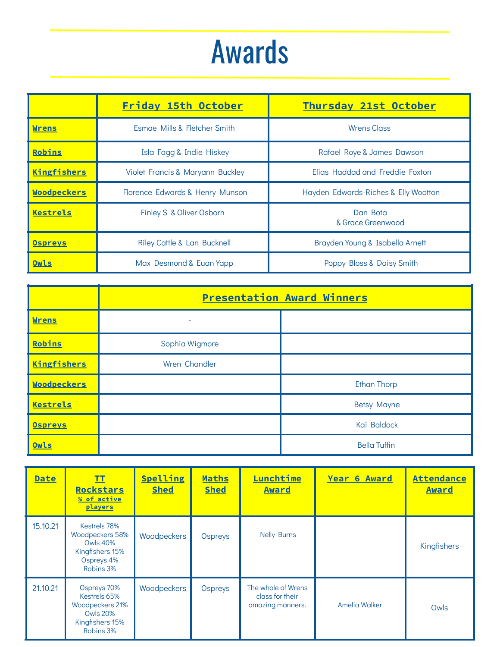# Awards

|                    | Friday 15th October                    | <b>Thursday 21st October</b>         |
|--------------------|----------------------------------------|--------------------------------------|
| <b>Wrens</b>       | Esmae Mills & Fletcher Smith           | <b>Wrens Class</b>                   |
| Robins             | Isla Fagg & Indie Hiskey               | Rafael Roye & James Dawson           |
| Kingfishers        | Violet Francis & Maryann Buckley       | Elias Haddad and Freddie Foxton      |
| <b>Woodpeckers</b> | Florence Edwards & Henry Munson        | Hayden Edwards-Riches & Elly Wootton |
| <b>Kestrels</b>    | Finley S & Oliver Osborn               | Dan Bota<br>& Grace Greenwood        |
| <b>Ospreys</b>     | <b>Riley Cattle &amp; Lan Bucknell</b> | Brayden Young & Isabella Arnett      |
| Owls               | Max Desmond & Euan Yapp                | Poppy Bloss & Daisy Smith            |

|                    | <b>Presentation Award Winners</b> |                     |  |
|--------------------|-----------------------------------|---------------------|--|
| <b>Wrens</b>       |                                   |                     |  |
| Robins             | Sophia Wigmore                    |                     |  |
| <b>Kingfishers</b> | Wren Chandler                     |                     |  |
| <b>Woodpeckers</b> |                                   | <b>Ethan Thorp</b>  |  |
| <b>Kestrels</b>    |                                   | <b>Betsy Mayne</b>  |  |
| <b>Ospreys</b>     |                                   | Kai Baldock         |  |
| Owls               |                                   | <b>Bella Tuffin</b> |  |

| <b>Date</b> | II<br><b>Rockstars</b><br>% of active<br>players                                                  | Spelling<br><b>Shed</b> | <b>Maths</b><br><b>Shed</b> | <b>Lunchtime</b><br><b>Award</b>                          | <b>Year 6 Award</b> | <b>Attendance</b><br><b>Award</b> |
|-------------|---------------------------------------------------------------------------------------------------|-------------------------|-----------------------------|-----------------------------------------------------------|---------------------|-----------------------------------|
| 15.10.21    | Kestrels 78%<br>Woodpeckers 58%<br><b>Owls 40%</b><br>Kingfishers 15%<br>Ospreys 4%<br>Robins 3%  | Woodpeckers             | Ospreys                     | <b>Nelly Burns</b>                                        |                     | Kingfishers                       |
| 21.10.21    | Ospreys 70%<br>Kestrels 65%<br>Woodpeckers 21%<br><b>Owls 20%</b><br>Kingfishers 15%<br>Robins 3% | Woodpeckers             | Ospreys                     | The whole of Wrens<br>class for their<br>amazing manners. | Amelia Walker       | Owls                              |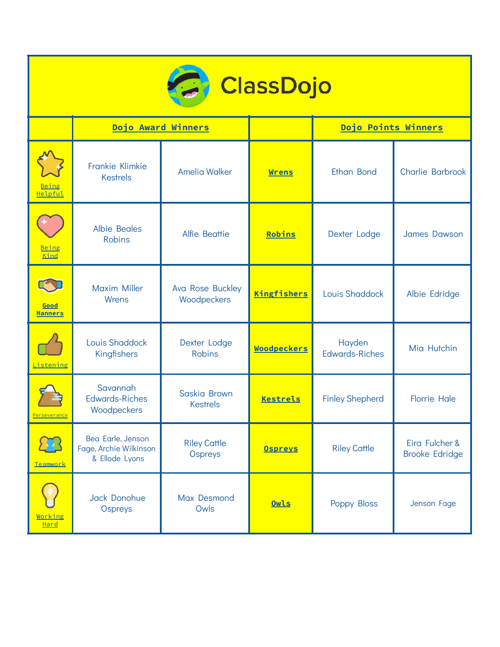| <b>C</b> ClassDojo     |                                                               |                                 |                    |                                 |                                         |  |
|------------------------|---------------------------------------------------------------|---------------------------------|--------------------|---------------------------------|-----------------------------------------|--|
|                        |                                                               | Dojo Award Winners              |                    | Dojo Points Winners             |                                         |  |
| Being<br>Helpful       | Frankie Klimkie<br><b>Kestrels</b>                            | <b>Amelia Walker</b>            | <b>Wrens</b>       | Ethan Bond                      | <b>Charlie Barbrook</b>                 |  |
| Being<br>Kind          | <b>Albie Beales</b><br><b>Robins</b>                          | Alfie Beattie                   | Robins             | Dexter Lodge                    | <b>James Dawson</b>                     |  |
| Good<br><b>Manners</b> | <b>Maxim Miller</b><br>Wrens                                  | Ava Rose Buckley<br>Woodpeckers | Kingfishers        | Louis Shaddock                  | Albie Edridge                           |  |
| Listening              | Louis Shaddock<br>Kingfishers                                 | Dexter Lodge<br><b>Robins</b>   | <b>Woodpeckers</b> | Hayden<br><b>Edwards-Riches</b> | Mia Hutchin                             |  |
| Perseverance           | Savannah<br><b>Edwards-Riches</b><br>Woodpeckers              | Saskia Brown<br><b>Kestrels</b> | <b>Kestrels</b>    | <b>Finley Shepherd</b>          | <b>Florrie Hale</b>                     |  |
| Teamwork               | Bea Earle, Jenson<br>Fage, Archie Wilkinson<br>& Ellode Lyons | <b>Riley Cattle</b><br>Ospreys  | <b>Ospreys</b>     | <b>Riley Cattle</b>             | Eira Fulcher &<br><b>Brooke Edridge</b> |  |
| Working<br>Hard        | Jack Donohue<br>Ospreys                                       | Max Desmond<br>Owls             | Owls               | Poppy Bloss                     | Jenson Fage                             |  |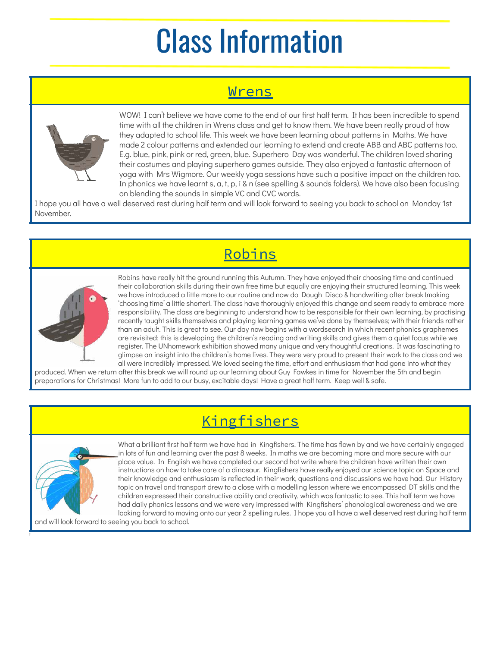# Class Information

### Wrens



WOW! I can't believe we have come to the end of our first half term. It has been incredible to spend time with all the children in Wrens class and get to know them. We have been really proud of how they adapted to school life. This week we have been learning about patterns in Maths. We have made 2 colour patterns and extended our learning to extend and create ABB and ABC patterns too. E.g. blue, pink, pink or red, green, blue. Superhero Day was wonderful. The children loved sharing their costumes and playing superhero games outside. They also enjoyed a fantastic afternoon of yoga with Mrs Wigmore. Our weekly yoga sessions have such a positive impact on the children too. In phonics we have learnt s, a, t, p, i & n (see spelling & sounds folders). We have also been focusing on blending the sounds in simple VC and CVC words.

I hope you all have a well deserved rest during half term and will look forward to seeing you back to school on Monday 1st November.

Robins



Robins have really hit the ground running this Autumn. They have enjoyed their choosing time and continued their collaboration skills during their own free time but equally are enjoying their structured learning. This week we have introduced a little more to our routine and now do Dough Disco & handwriting after break (making 'choosing time' a little shorter). The class have thoroughly enjoyed this change and seem ready to embrace more responsibility. The class are beginning to understand how to be responsible for their own learning, by practising recently taught skills themselves and playing learning games we've done by themselves; with their friends rather than an adult. This is great to see. Our day now begins with a wordsearch in which recent phonics graphemes are revisited; this is developing the children's reading and writing skills and gives them a quiet focus while we register. The UNhomework exhibition showed many unique and very thoughtful creations. It was fascinating to glimpse an insight into the children's home lives. They were very proud to present their work to the class and we all were incredibly impressed. We loved seeing the time, effort and enthusiasm that had gone into what they

produced. When we return after this break we will round up our learning about Guy Fawkes in time for November the 5th and begin preparations for Christmas! More fun to add to our busy, excitable days! Have a great half term. Keep well & safe.

### Kingfishers



t

What a brilliant first half term we have had in Kingfishers. The time has flown by and we have certainly engaged in lots of fun and learning over the past 8 weeks. In maths we are becoming more and more secure with our place value. In English we have completed our second hot write where the children have written their own instructions on how to take care of a dinosaur. Kingfishers have really enjoyed our science topic on Space and their knowledge and enthusiasm is reflected in their work, questions and discussions we have had. Our History topic on travel and transport drew to a close with a modelling lesson where we encompassed DT skills and the children expressed their constructive ability and creativity, which was fantastic to see. This half term we have had daily phonics lessons and we were very impressed with Kingfishers' phonological awareness and we are looking forward to moving onto our year 2 spelling rules. I hope you all have a well deserved rest during half term

and will look forward to seeing you back to school.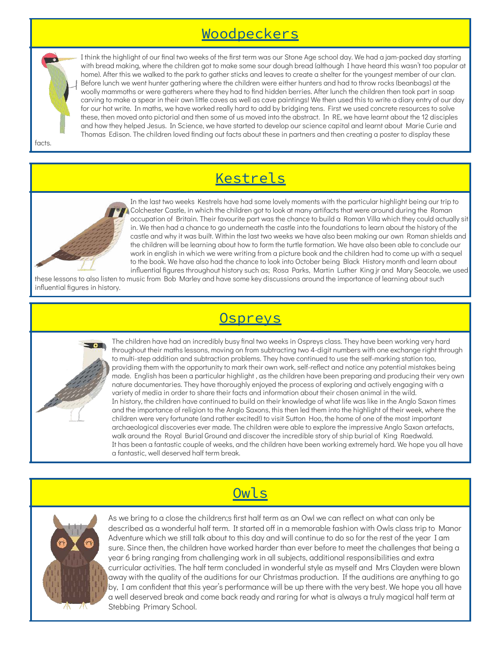#### Woodpeckers

facts.

home). After this we walked to the park to gather sticks and leaves to create a shelter for the youngest member of our clan. Before lunch we went hunter gathering where the children were either hunters and had to throw rocks (beanbags) at the woolly mammoths or were gatherers where they had to find hidden berries. After lunch the children then took part in soap carving to make a spear in their own little caves as well as cave paintings! We then used this to write a diary entry of our day for our hot write. In maths, we have worked really hard to add by bridging tens. First we used concrete resources to solve these, then moved onto pictorial and then some of us moved into the abstract. In RE, we have learnt about the 12 disciples and how they helped Jesus. In Science, we have started to develop our science capital and learnt about Marie Curie and Thomas Edison. The children loved finding out facts about these in partners and then creating a poster to display these

I think the highlight of our final two weeks of the first term was our Stone Age school day. We had a jam-packed day starting with bread making, where the children got to make some sour dough bread (although I have heard this wasn't too popular at

#### Kestrels



In the last two weeks Kestrels have had some lovely moments with the particular highlight being our trip to Colchester Castle, in which the children got to look at many artifacts that were around during the Roman occupation of Britain. Their favourite part was the chance to build a Roman Villa which they could actually sit in. We then had a chance to go underneath the castle into the foundations to learn about the history of the castle and why it was built. Within the last two weeks we have also been making our own Roman shields and the children will be learning about how to form the turtle formation. We have also been able to conclude our work in english in which we were writing from a picture book and the children had to come up with a sequel to the book. We have also had the chance to look into October being Black History month and learn about influential figures throughout history such as; Rosa Parks, Martin Luther King jr and Mary Seacole, we used

these lessons to also listen to music from Bob Marley and have some key discussions around the importance of learning about such influential figures in history.

### **Ospreys**



The children have had an incredibly busy final two weeks in Ospreys class. They have been working very hard throughout their maths lessons, moving on from subtracting two 4-digit numbers with one exchange right through to multi-step addition and subtraction problems. They have continued to use the self-marking station too, providing them with the opportunity to mark their own work, self-reflect and notice any potential mistakes being made. English has been a particular highlight , as the children have been preparing and producing their very own nature documentaries. They have thoroughly enjoyed the process of exploring and actively engaging with a variety of media in order to share their facts and information about their chosen animal in the wild. In history, the children have continued to build on their knowledge of what life was like in the Anglo Saxon times and the importance of religion to the Anglo Saxons, this then led them into the highlight of their week, where the children were very fortunate (and rather excited!) to visit Sutton Hoo, the home of one of the most important archaeological discoveries ever made. The children were able to explore the impressive Anglo Saxon artefacts, walk around the Royal Burial Ground and discover the incredible story of ship burial of King Raedwald. It has been a fantastic couple of weeks, and the children have been working extremely hard. We hope you all have a fantastic, well deserved half term break.

#### Owls



As we bring to a close the children;s first half term as an Owl we can reflect on what can only be described as a wonderful half term. It started off in a memorable fashion with Owls class trip to Manor Adventure which we still talk about to this day and will continue to do so for the rest of the year I am sure. Since then, the children have worked harder than ever before to meet the challenges that being a year 6 bring ranging from challenging work in all subjects, additional responsibilities and extra curricular activities. The half term concluded in wonderful style as myself and Mrs Clayden were blown away with the quality of the auditions for our Christmas production. If the auditions are anything to go by, I am confident that this year's performance will be up there with the very best. We hope you all have a well deserved break and come back ready and raring for what is always a truly magical half term at Stebbing Primary School.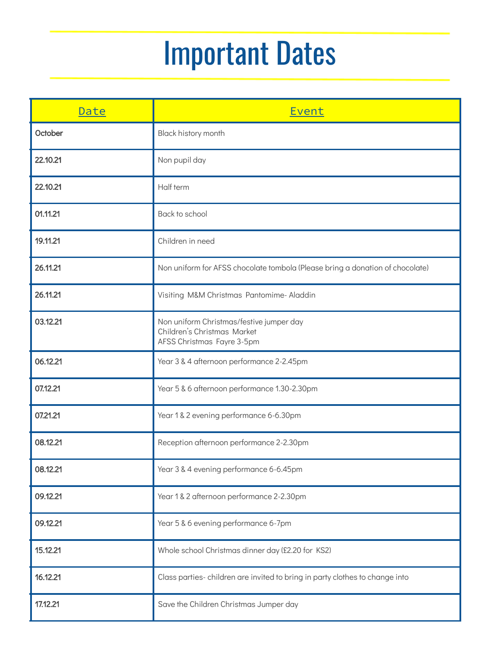# Important Dates

| Date     | Event                                                                                                 |
|----------|-------------------------------------------------------------------------------------------------------|
| October  | Black history month                                                                                   |
| 22.10.21 | Non pupil day                                                                                         |
| 22.10.21 | Half term                                                                                             |
| 01.11.21 | Back to school                                                                                        |
| 19.11.21 | Children in need                                                                                      |
| 26.11.21 | Non uniform for AFSS chocolate tombola (Please bring a donation of chocolate)                         |
| 26.11.21 | Visiting M&M Christmas Pantomime- Aladdin                                                             |
| 03.12.21 | Non uniform Christmas/festive jumper day<br>Children's Christmas Market<br>AFSS Christmas Fayre 3-5pm |
| 06.12.21 | Year 3 & 4 afternoon performance 2-2.45pm                                                             |
| 07.12.21 | Year 5 & 6 afternoon performance 1.30-2.30pm                                                          |
| 07.21.21 | Year 1 & 2 evening performance 6-6.30pm                                                               |
| 08.12.21 | Reception afternoon performance 2-2.30pm                                                              |
| 08.12.21 | Year 3 & 4 evening performance 6-6.45pm                                                               |
| 09.12.21 | Year 1 & 2 afternoon performance 2-2.30pm                                                             |
| 09.12.21 | Year 5 & 6 evening performance 6-7pm                                                                  |
| 15.12.21 | Whole school Christmas dinner day (£2.20 for KS2)                                                     |
| 16.12.21 | Class parties-children are invited to bring in party clothes to change into                           |
| 17.12.21 | Save the Children Christmas Jumper day                                                                |